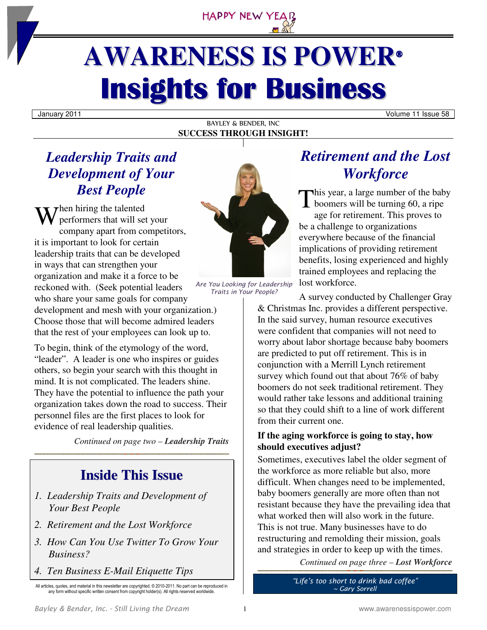

# **AWARENESS IS POWER® Insights for Business**

#### BAYLEY & BENDER, INC **SUCCESS THROUGH INSIGHT!**

#### January 2011 Volume 11 Issue 58

## *Leadership Traits and Development of Your Best People*

 $\tau$ hen hiring the talented performers that will set your company apart from competitors, it is important to look for certain leadership traits that can be developed in ways that can strengthen your organization and make it a force to be reckoned with. (Seek potential leaders who share your same goals for company development and mesh with your organization.) Choose those that will become admired leaders that the rest of your employees can look up to. W

To begin, think of the etymology of the word, "leader". A leader is one who inspires or guides others, so begin your search with this thought in mind. It is not complicated. The leaders shine. They have the potential to influence the path your organization takes down the road to success. Their personnel files are the first places to look for evidence of real leadership qualities.

*Continued on page two – Leadership Traits* 

## **Inside This Issue**

- *1. Leadership Traits and Development of Your Best People*
- *2. Retirement and the Lost Workforce*
- *3. How Can You Use Twitter To Grow Your Business?*
- *4. Ten Business E-Mail Etiquette Tips*

All articles, quotes, and material in this newsletter are copyrighted. © 2010-2011. No part can be reproduced in any form without specific written consent from copyright holder(s). All rights reserved worldwide.



*Are You Looking for Leadership Traits in Your People?*

*Retirement and the Lost Workforce* 

his year, a large number of the baby This year, a large number of the bab<br>boomers will be turning 60, a ripe age for retirement. This proves to be a challenge to organizations everywhere because of the financial implications of providing retirement benefits, losing experienced and highly trained employees and replacing the lost workforce.

A survey conducted by Challenger Gray & Christmas Inc. provides a different perspective. In the said survey, human resource executives were confident that companies will not need to worry about labor shortage because baby boomers are predicted to put off retirement. This is in conjunction with a Merrill Lynch retirement survey which found out that about 76% of baby boomers do not seek traditional retirement. They would rather take lessons and additional training so that they could shift to a line of work different from their current one.

#### **If the aging workforce is going to stay, how should executives adjust?**

Sometimes, executives label the older segment of the workforce as more reliable but also, more difficult. When changes need to be implemented, baby boomers generally are more often than not resistant because they have the prevailing idea that what worked then will also work in the future. This is not true. Many businesses have to do restructuring and remolding their mission, goals and strategies in order to keep up with the times.

*Continued on page three – Lost Workforce* 

*"Life's too short to drink bad coffee" ~ Gary Sorrell*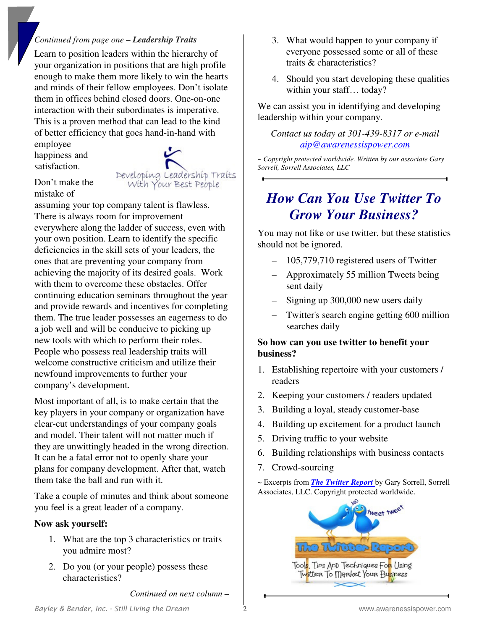#### *Continued from page one – Leadership Traits*

Learn to position leaders within the hierarchy of your organization in positions that are high profile enough to make them more likely to win the hearts and minds of their fellow employees. Don't isolate them in offices behind closed doors. One-on-one interaction with their subordinates is imperative. This is a proven method that can lead to the kind of better efficiency that goes hand-in-hand with

employee happiness and satisfaction.



Don't make the mistake of

assuming your top company talent is flawless. There is always room for improvement everywhere along the ladder of success, even with your own position. Learn to identify the specific deficiencies in the skill sets of your leaders, the ones that are preventing your company from achieving the majority of its desired goals. Work with them to overcome these obstacles. Offer continuing education seminars throughout the year and provide rewards and incentives for completing them. The true leader possesses an eagerness to do a job well and will be conducive to picking up new tools with which to perform their roles. People who possess real leadership traits will welcome constructive criticism and utilize their newfound improvements to further your company's development.

Most important of all, is to make certain that the key players in your company or organization have clear-cut understandings of your company goals and model. Their talent will not matter much if they are unwittingly headed in the wrong direction. It can be a fatal error not to openly share your plans for company development. After that, watch them take the ball and run with it.

Take a couple of minutes and think about someone you feel is a great leader of a company.

#### **Now ask yourself:**

- 1. What are the top 3 characteristics or traits you admire most?
- 2. Do you (or your people) possess these characteristics?

3. What would happen to your company if everyone possessed some or all of these traits & characteristics?

4. Should you start developing these qualities within your staff... today?

We can assist you in identifying and developing leadership within your company.

*Contact us today at 301-439-8317 or e-mail aip@awarenessispower.com*

*~ Copyright protected worldwide. Written by our associate Gary Sorrell, Sorrell Associates, LLC* 

## *How Can You Use Twitter To Grow Your Business?*

You may not like or use twitter, but these statistics should not be ignored.

- 105,779,710 registered users of Twitter
- Approximately 55 million Tweets being sent daily
- Signing up 300,000 new users daily
- Twitter's search engine getting 600 million searches daily

#### **So how can you use twitter to benefit your business?**

- 1. Establishing repertoire with your customers / readers
- 2. Keeping your customers / readers updated
- 3. Building a loyal, steady customer-base
- 4. Building up excitement for a product launch
- 5. Driving traffic to your website
- 6. Building relationships with business contacts
- 7. Crowd-sourcing

~ Excerpts from *The Twitter Report* by Gary Sorrell, Sorrell Associates, LLC. Copyright protected worldwide.



*Continued on next column –*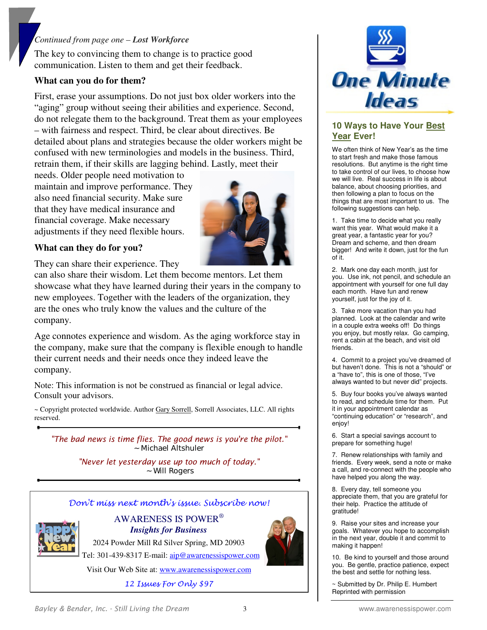#### *Continued from page one – Lost Workforce*

The key to convincing them to change is to practice good communication. Listen to them and get their feedback.

#### **What can you do for them?**

First, erase your assumptions. Do not just box older workers into the "aging" group without seeing their abilities and experience. Second, do not relegate them to the background. Treat them as your employees – with fairness and respect. Third, be clear about directives. Be detailed about plans and strategies because the older workers might be confused with new terminologies and models in the business. Third, retrain them, if their skills are lagging behind. Lastly, meet their

needs. Older people need motivation to maintain and improve performance. They also need financial security. Make sure that they have medical insurance and financial coverage. Make necessary adjustments if they need flexible hours.



#### **What can they do for you?**

They can share their experience. They

can also share their wisdom. Let them become mentors. Let them showcase what they have learned during their years in the company to new employees. Together with the leaders of the organization, they are the ones who truly know the values and the culture of the company.

Age connotes experience and wisdom. As the aging workforce stay in the company, make sure that the company is flexible enough to handle their current needs and their needs once they indeed leave the company.

Note: This information is not be construed as financial or legal advice. Consult your advisors.

~ Copyright protected worldwide. Author Gary Sorrell, Sorrell Associates, LLC. All rights reserved.

*"The bad news is time flies. The good news is you're the pilot." ~ Michael Altshuler* 

> *"Never let yesterday use up too much of today." ~ Will Rogers*



Don't miss next month's issue. Subscribe now!

AWARENESS IS POWER®  *Insights for Business* 

2024 Powder Mill Rd Silver Spring, MD 20903



Visit Our Web Site at: www.awarenessispower.com

12 Issues For Only \$97



#### **10 Ways to Have Your Best Year Ever!**

We often think of New Year's as the time to start fresh and make those famous resolutions. But anytime is the right time to take control of our lives, to choose how we will live. Real success in life is about balance, about choosing priorities, and then following a plan to focus on the things that are most important to us. The following suggestions can help.

1. Take time to decide what you really want this year. What would make it a great year, a fantastic year for you? Dream and scheme, and then dream bigger! And write it down, just for the fun of it.

2. Mark one day each month, just for you. Use ink, not pencil, and schedule an appointment with yourself for one full day each month. Have fun and renew yourself, just for the joy of it.

3. Take more vacation than you had planned. Look at the calendar and write in a couple extra weeks off! Do things you enjoy, but mostly relax. Go camping, rent a cabin at the beach, and visit old friends.

4. Commit to a project you've dreamed of but haven't done. This is not a "should" or a "have to", this is one of those, "I've always wanted to but never did" projects.

5. Buy four books you've always wanted to read, and schedule time for them. Put it in your appointment calendar as "continuing education" or "research", and enjoy!

6. Start a special savings account to prepare for something huge!

7. Renew relationships with family and friends. Every week, send a note or make a call, and re-connect with the people who have helped you along the way.

8. Every day, tell someone you appreciate them, that you are grateful for their help. Practice the attitude of gratitude!

9. Raise your sites and increase your goals. Whatever you hope to accomplish in the next year, double it and commit to making it happen!

10. Be kind to yourself and those around you. Be gentle, practice patience, expect the best and settle for nothing less.

~ Submitted by Dr. Philip E. Humbert Reprinted with permission